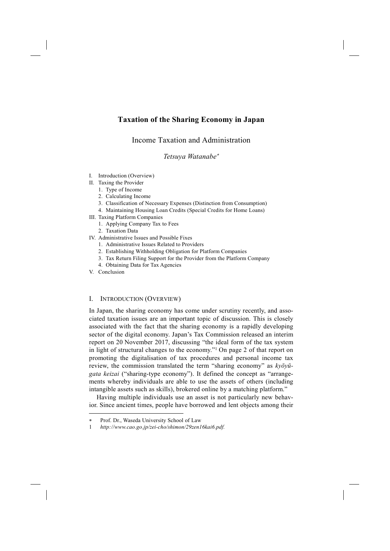# **Taxation of the Sharing Economy in Japan**

# Income Taxation and Administration

*Tetsuya Watanabe*<sup>∗</sup>

- I. Introduction (Overview)
- II. Taxing the Provider
	- 1. Type of Income
	- 2. Calculating Income
	- 3. Classification of Necessary Expenses (Distinction from Consumption)
	- 4. Maintaining Housing Loan Credits (Special Credits for Home Loans)
- III. Taxing Platform Companies
	- 1. Applying Company Tax to Fees
	- 2. Taxation Data
- IV. Administrative Issues and Possible Fixes
	- 1. Administrative Issues Related to Providers
	- 2. Establishing Withholding Obligation for Platform Companies
	- 3. Tax Return Filing Support for the Provider from the Platform Company
	- 4. Obtaining Data for Tax Agencies
- V. Conclusion

-

## I. INTRODUCTION (OVERVIEW)

In Japan, the sharing economy has come under scrutiny recently, and associated taxation issues are an important topic of discussion. This is closely associated with the fact that the sharing economy is a rapidly developing sector of the digital economy. Japan's Tax Commission released an interim report on 20 November 2017, discussing "the ideal form of the tax system in light of structural changes to the economy."1 On page 2 of that report on promoting the digitalisation of tax procedures and personal income tax review, the commission translated the term "sharing economy" as *kyōyūgata keizai* ("sharing-type economy"). It defined the concept as "arrangements whereby individuals are able to use the assets of others (including intangible assets such as skills), brokered online by a matching platform."

Having multiple individuals use an asset is not particularly new behavior. Since ancient times, people have borrowed and lent objects among their

<sup>∗</sup> Prof. Dr., Waseda University School of Law

<sup>1</sup> *http://www.cao.go.jp/zei-cho/shimon/29zen16kai6.pdf.*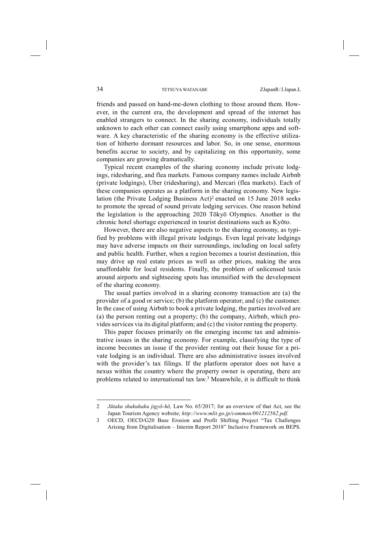friends and passed on hand-me-down clothing to those around them. However, in the current era, the development and spread of the internet has enabled strangers to connect. In the sharing economy, individuals totally unknown to each other can connect easily using smartphone apps and software. A key characteristic of the sharing economy is the effective utilization of hitherto dormant resources and labor. So, in one sense, enormous benefits accrue to society, and by capitalizing on this opportunity, some companies are growing dramatically.

Typical recent examples of the sharing economy include private lodgings, ridesharing, and flea markets. Famous company names include Airbnb (private lodgings), Uber (ridesharing), and Mercari (flea markets). Each of these companies operates as a platform in the sharing economy. New legislation (the Private Lodging Business Act)2 enacted on 15 June 2018 seeks to promote the spread of sound private lodging services. One reason behind the legislation is the approaching 2020 Tōkyō Olympics. Another is the chronic hotel shortage experienced in tourist destinations such as Kyōto.

However, there are also negative aspects to the sharing economy, as typified by problems with illegal private lodgings. Even legal private lodgings may have adverse impacts on their surroundings, including on local safety and public health. Further, when a region becomes a tourist destination, this may drive up real estate prices as well as other prices, making the area unaffordable for local residents. Finally, the problem of unlicensed taxis around airports and sightseeing spots has intensified with the development of the sharing economy.

The usual parties involved in a sharing economy transaction are (a) the provider of a good or service; (b) the platform operator; and (c) the customer. In the case of using Airbnb to book a private lodging, the parties involved are (a) the person renting out a property; (b) the company, Airbnb, which provides services via its digital platform; and (c) the visitor renting the property.

This paper focuses primarily on the emerging income tax and administrative issues in the sharing economy. For example, classifying the type of income becomes an issue if the provider renting out their house for a private lodging is an individual. There are also administrative issues involved with the provider's tax filings. If the platform operator does not have a nexus within the country where the property owner is operating, there are problems related to international tax law.3 Meanwhile, it is difficult to think

<sup>2</sup> *Jūtaku shukuhaku jigyō-hō,* Law No. 65/2017; for an overview of that Act, see the Japan Tourism Agency website; *http://www.mlit.go.jp/common/001212562.pdf.* 

<sup>3</sup> OECD, OECD/G20 Base Erosion and Profit Shifting Project "Tax Challenges Arising from Digitalisation – Interim Report 2018" Inclusive Framework on BEPS.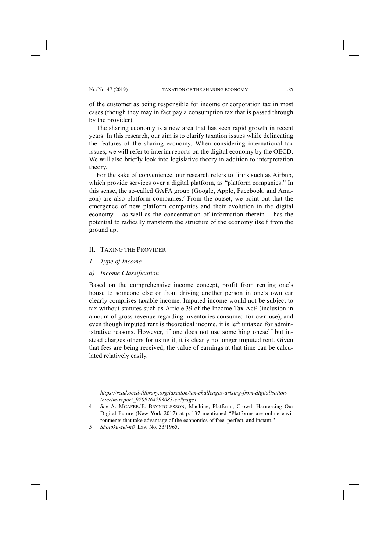of the customer as being responsible for income or corporation tax in most cases (though they may in fact pay a consumption tax that is passed through by the provider).

The sharing economy is a new area that has seen rapid growth in recent years. In this research, our aim is to clarify taxation issues while delineating the features of the sharing economy. When considering international tax issues, we will refer to interim reports on the digital economy by the OECD. We will also briefly look into legislative theory in addition to interpretation theory.

For the sake of convenience, our research refers to firms such as Airbnb, which provide services over a digital platform, as "platform companies." In this sense, the so-called GAFA group (Google, Apple, Facebook, and Amazon) are also platform companies.<sup>4</sup> From the outset, we point out that the emergence of new platform companies and their evolution in the digital economy – as well as the concentration of information therein – has the potential to radically transform the structure of the economy itself from the ground up.

#### II. TAXING THE PROVIDER

*1. Type of Income*

-

*a) Income Classification*

Based on the comprehensive income concept, profit from renting one's house to someone else or from driving another person in one's own car clearly comprises taxable income. Imputed income would not be subject to tax without statutes such as Article 39 of the Income Tax Act<sup>5</sup> (inclusion in amount of gross revenue regarding inventories consumed for own use), and even though imputed rent is theoretical income, it is left untaxed for administrative reasons. However, if one does not use something oneself but instead charges others for using it, it is clearly no longer imputed rent. Given that fees are being received, the value of earnings at that time can be calculated relatively easily.

*https://read.oecd-ilibrary.org/taxation/tax-challenges-arising-from-digitalisationinterim-report\_9789264293083-en#page1.*

<sup>4</sup> *See* A. MCAFEE/E. BRYNJOLFSSON, Machine, Platform, Crowd: Harnessing Our Digital Future (New York 2017) at p. 137 mentioned "Platforms are online environments that take advantage of the economics of free, perfect, and instant."

<sup>5</sup> *Shotoku-zei-hō,* Law No. 33/1965.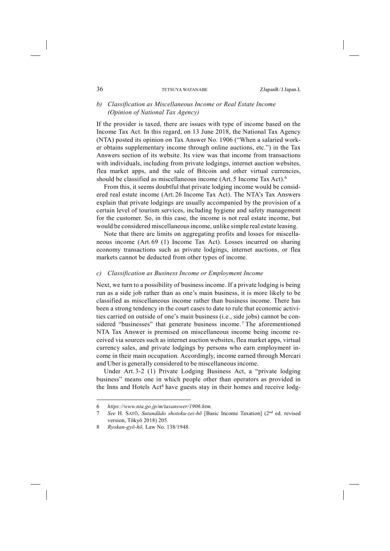## *b) Classification as Miscellaneous Income or Real Estate Income (Opinion of National Tax Agency)*

If the provider is taxed, there are issues with type of income based on the Income Tax Act. In this regard, on 13 June 2018, the National Tax Agency (NTA) posted its opinion on Tax Answer No. 1906 ("When a salaried worker obtains supplementary income through online auctions, etc.") in the Tax Answers section of its website. Its view was that income from transactions with individuals, including from private lodgings, internet auction websites, flea market apps, and the sale of Bitcoin and other virtual currencies, should be classified as miscellaneous income (Art. 5 Income Tax Act).6

From this, it seems doubtful that private lodging income would be considered real estate income (Art. 26 Income Tax Act). The NTA's Tax Answers explain that private lodgings are usually accompanied by the provision of a certain level of tourism services, including hygiene and safety management for the customer. So, in this case, the income is not real estate income, but would be considered miscellaneousincome, unlike simple real estate leasing.

Note that there are limits on aggregating profits and losses for miscellaneous income (Art. 69 (1) Income Tax Act). Losses incurred on sharing economy transactions such as private lodgings, internet auctions, or flea markets cannot be deducted from other types of income.

## *c) Classification as Business Income or Employment Income*

Next, we turn to a possibility of business income. If a private lodging is being run as a side job rather than as one's main business, it is more likely to be classified as miscellaneous income rather than business income. There has been a strong tendency in the court cases to date to rule that economic activities carried on outside of one's main business (i.e., side jobs) cannot be considered "businesses" that generate business income.<sup>7</sup> The aforementioned NTA Tax Answer is premised on miscellaneous income being income received via sources such as internet auction websites, flea market apps, virtual currency sales, and private lodgings by persons who earn employment income in their main occupation. Accordingly, income earned through Mercari and Uber is generally considered to be miscellaneous income.

Under Art. 3-2 (1) Private Lodging Business Act, a "private lodging business" means one in which people other than operators as provided in the Inns and Hotels Act<sup>8</sup> have guests stay in their homes and receive lodg-

<sup>6</sup> *https://www.nta.go.jp/m/taxanswer/1906.htm.*

<sup>7</sup> *See* H. SATŌ, *Sutandādo shotoku-zei-hō* [Basic Income Taxation] (2nd ed. revised version, Tōkyō 2018) 205.

<sup>8</sup> *Ryokan-gyō-hō,* Law No. 138/1948.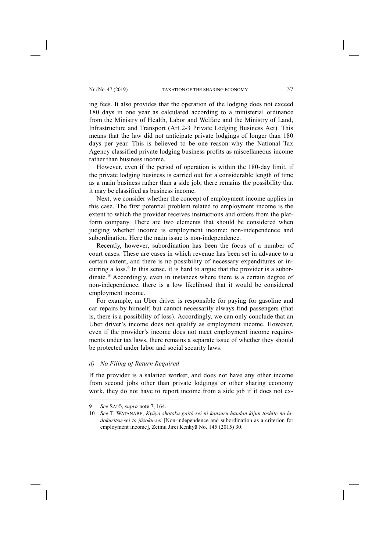ing fees. It also provides that the operation of the lodging does not exceed 180 days in one year as calculated according to a ministerial ordinance from the Ministry of Health, Labor and Welfare and the Ministry of Land, Infrastructure and Transport (Art. 2-3 Private Lodging Business Act). This means that the law did not anticipate private lodgings of longer than 180 days per year. This is believed to be one reason why the National Tax Agency classified private lodging business profits as miscellaneous income rather than business income.

However, even if the period of operation is within the 180-day limit, if the private lodging business is carried out for a considerable length of time as a main business rather than a side job, there remains the possibility that it may be classified as business income.

Next, we consider whether the concept of employment income applies in this case. The first potential problem related to employment income is the extent to which the provider receives instructions and orders from the platform company. There are two elements that should be considered when judging whether income is employment income: non-independence and subordination. Here the main issue is non-independence.

Recently, however, subordination has been the focus of a number of court cases. These are cases in which revenue has been set in advance to a certain extent, and there is no possibility of necessary expenditures or incurring a loss.<sup>9</sup> In this sense, it is hard to argue that the provider is a subordinate.10 Accordingly, even in instances where there is a certain degree of non-independence, there is a low likelihood that it would be considered employment income.

For example, an Uber driver is responsible for paying for gasoline and car repairs by himself, but cannot necessarily always find passengers (that is, there is a possibility of loss). Accordingly, we can only conclude that an Uber driver's income does not qualify as employment income. However, even if the provider's income does not meet employment income requirements under tax laws, there remains a separate issue of whether they should be protected under labor and social security laws.

*d) No Filing of Return Required*

If the provider is a salaried worker, and does not have any other income from second jobs other than private lodgings or other sharing economy work, they do not have to report income from a side job if it does not ex-

<sup>9</sup> *See* SATŌ, *supra* note 7, 164.

<sup>10</sup> *See* T. WATANABE, *Kyūyo shotoku gaitō-sei ni kansuru handan kijun toshite no hidokuritsu-sei to jūzoku-sei* [Non-independence and subordination as a criterion for employment income], Zeimu Jirei Kenkyū No. 145 (2015) 30.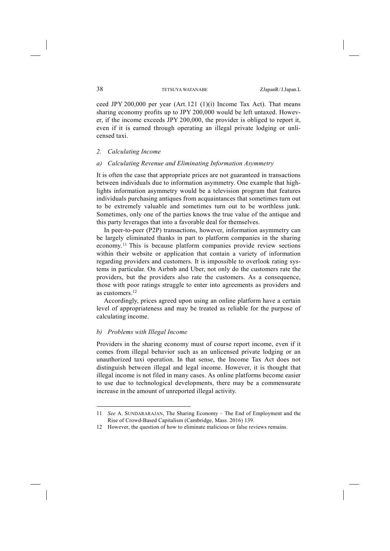ceed JPY 200,000 per year  $(Art. 121 (1)(i)$  Income Tax Act). That means sharing economy profits up to JPY 200,000 would be left untaxed. However, if the income exceeds JPY 200,000, the provider is obliged to report it, even if it is earned through operating an illegal private lodging or unlicensed taxi.

## *2. Calculating Income*

## *a) Calculating Revenue and Eliminating Information Asymmetry*

It is often the case that appropriate prices are not guaranteed in transactions between individuals due to information asymmetry. One example that highlights information asymmetry would be a television program that features individuals purchasing antiques from acquaintances that sometimes turn out to be extremely valuable and sometimes turn out to be worthless junk. Sometimes, only one of the parties knows the true value of the antique and this party leverages that into a favorable deal for themselves.

In peer-to-peer (P2P) transactions, however, information asymmetry can be largely eliminated thanks in part to platform companies in the sharing economy. <sup>11</sup> This is because platform companies provide review sections within their website or application that contain a variety of information regarding providers and customers. It is impossible to overlook rating systems in particular. On Airbnb and Uber, not only do the customers rate the providers, but the providers also rate the customers. As a consequence, those with poor ratings struggle to enter into agreements as providers and as customers<sup>12</sup>

Accordingly, prices agreed upon using an online platform have a certain level of appropriateness and may be treated as reliable for the purpose of calculating income.

## *b) Problems with Illegal Income*

-

Providers in the sharing economy must of course report income, even if it comes from illegal behavior such as an unlicensed private lodging or an unauthorized taxi operation. In that sense, the Income Tax Act does not distinguish between illegal and legal income. However, it is thought that illegal income is not filed in many cases. As online platforms become easier to use due to technological developments, there may be a commensurate increase in the amount of unreported illegal activity.

<sup>11</sup> *See* A. SUNDARARAJAN, The Sharing Economy – The End of Employment and the Rise of Crowd-Based Capitalism (Cambridge, Mass. 2016) 139.

<sup>12</sup> However, the question of how to eliminate malicious or false reviews remains.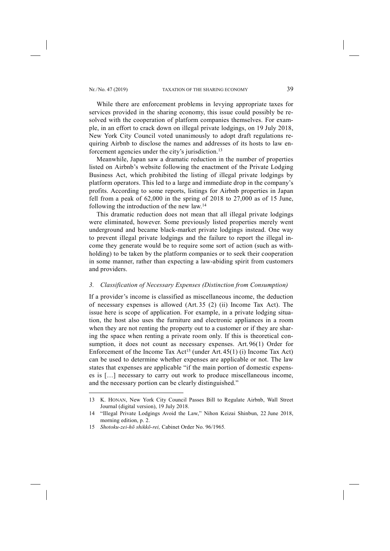While there are enforcement problems in levying appropriate taxes for services provided in the sharing economy, this issue could possibly be resolved with the cooperation of platform companies themselves. For example, in an effort to crack down on illegal private lodgings, on 19 July 2018, New York City Council voted unanimously to adopt draft regulations requiring Airbnb to disclose the names and addresses of its hosts to law enforcement agencies under the city's jurisdiction.13

Meanwhile, Japan saw a dramatic reduction in the number of properties listed on Airbnb's website following the enactment of the Private Lodging Business Act, which prohibited the listing of illegal private lodgings by platform operators. This led to a large and immediate drop in the company's profits. According to some reports, listings for Airbnb properties in Japan fell from a peak of 62,000 in the spring of 2018 to 27,000 as of 15 June, following the introduction of the new law.14

This dramatic reduction does not mean that all illegal private lodgings were eliminated, however. Some previously listed properties merely went underground and became black-market private lodgings instead. One way to prevent illegal private lodgings and the failure to report the illegal income they generate would be to require some sort of action (such as withholding) to be taken by the platform companies or to seek their cooperation in some manner, rather than expecting a law-abiding spirit from customers and providers.

## *3. Classification of Necessary Expenses (Distinction from Consumption)*

If a provider's income is classified as miscellaneous income, the deduction of necessary expenses is allowed (Art. 35 (2) (ii) Income Tax Act). The issue here is scope of application. For example, in a private lodging situation, the host also uses the furniture and electronic appliances in a room when they are not renting the property out to a customer or if they are sharing the space when renting a private room only. If this is theoretical consumption, it does not count as necessary expenses. Art. 96(1) Order for Enforcement of the Income Tax Act<sup>15</sup> (under Art.  $45(1)$  (i) Income Tax Act) can be used to determine whether expenses are applicable or not. The law states that expenses are applicable "if the main portion of domestic expenses is […] necessary to carry out work to produce miscellaneous income, and the necessary portion can be clearly distinguished."

<sup>13</sup> K. HONAN, New York City Council Passes Bill to Regulate Airbnb, Wall Street Journal (digital version), 19 July 2018.

<sup>14</sup> "Illegal Private Lodgings Avoid the Law," Nihon Keizai Shinbun, 22 June 2018, morning edition, p. 2.

<sup>15</sup> *Shotoku-zei-hō shikkō-rei,* Cabinet Order No. 96/1965*.*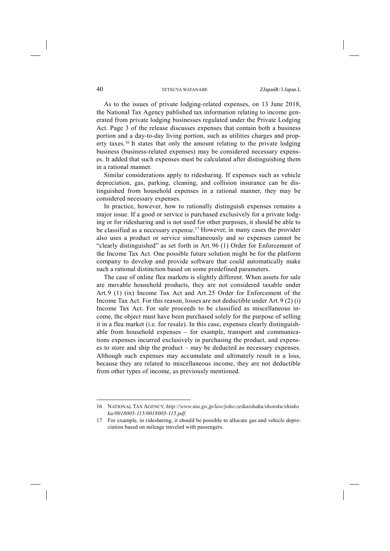As to the issues of private lodging-related expenses, on 13 June 2018, the National Tax Agency published tax information relating to income generated from private lodging businesses regulated under the Private Lodging Act. Page 3 of the release discusses expenses that contain both a business portion and a day-to-day living portion, such as utilities charges and property taxes.16 It states that only the amount relating to the private lodging business (business-related expenses) may be considered necessary expenses. It added that such expenses must be calculated after distinguishing them in a rational manner.

Similar considerations apply to ridesharing. If expenses such as vehicle depreciation, gas, parking, cleaning, and collision insurance can be distinguished from household expenses in a rational manner, they may be considered necessary expenses.

In practice, however, how to rationally distinguish expenses remains a major issue. If a good or service is purchased exclusively for a private lodging or for ridesharing and is not used for other purposes, it should be able to be classified as a necessary expense.17 However, in many cases the provider also uses a product or service simultaneously and so expenses cannot be "clearly distinguished" as set forth in Art. 96 (1) Order for Enforcement of the Income Tax Act. One possible future solution might be for the platform company to develop and provide software that could automatically make such a rational distinction based on some predefined parameters.

The case of online flea markets is slightly different. When assets for sale are movable household products, they are not considered taxable under Art. 9 (1) (ix) Income Tax Act and Art. 25 Order for Enforcement of the Income Tax Act. For this reason, losses are not deductible under Art. 9 (2) (i) Income Tax Act. For sale proceeds to be classified as miscellaneous income, the object must have been purchased solely for the purpose of selling it in a flea market (i.e. for resale). In this case, expenses clearly distinguishable from household expenses – for example, transport and communications expenses incurred exclusively in purchasing the product, and expenses to store and ship the product – may be deducted as necessary expenses. Although such expenses may accumulate and ultimately result in a loss, because they are related to miscellaneous income, they are not deductible from other types of income, as previously mentioned.

<sup>16</sup> NATIONAL TAX AGENCY, *http://www.nta.go.jp/law/joho-zeikaishaku/shotoku/shinko ku/0018005-115/0018005-115.pdf.*

<sup>17</sup> For example, in ridesharing, it should be possible to allocate gas and vehicle depreciation based on mileage traveled with passengers.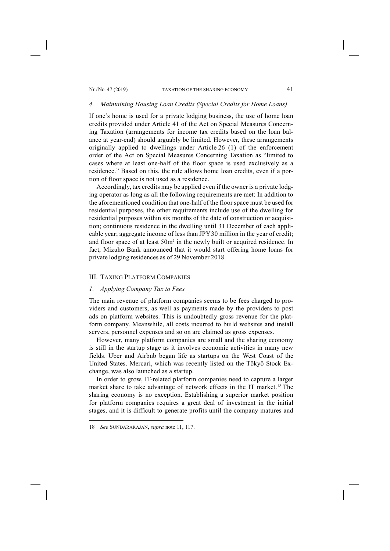#### *4. Maintaining Housing Loan Credits (Special Credits for Home Loans)*

If one's home is used for a private lodging business, the use of home loan credits provided under Article 41 of the Act on Special Measures Concerning Taxation (arrangements for income tax credits based on the loan balance at year-end) should arguably be limited. However, these arrangements originally applied to dwellings under Article 26 (1) of the enforcement order of the Act on Special Measures Concerning Taxation as "limited to cases where at least one-half of the floor space is used exclusively as a residence." Based on this, the rule allows home loan credits, even if a portion of floor space is not used as a residence.

Accordingly, tax credits may be applied even if the owner is a private lodging operator as long as all the following requirements are met: In addition to the aforementioned condition that one-half of the floor space must be used for residential purposes, the other requirements include use of the dwelling for residential purposes within six months of the date of construction or acquisition; continuous residence in the dwelling until 31 December of each applicable year; aggregate income of less than JPY30 million in the year of credit; and floor space of at least 50m² in the newly built or acquired residence. In fact, Mizuho Bank announced that it would start offering home loans for private lodging residences as of 29 November 2018.

## III. TAXING PLATFORM COMPANIES

## *1. Applying Company Tax to Fees*

The main revenue of platform companies seems to be fees charged to providers and customers, as well as payments made by the providers to post ads on platform websites. This is undoubtedly gross revenue for the platform company. Meanwhile, all costs incurred to build websites and install servers, personnel expenses and so on are claimed as gross expenses.

However, many platform companies are small and the sharing economy is still in the startup stage as it involves economic activities in many new fields. Uber and Airbnb began life as startups on the West Coast of the United States. Mercari, which was recently listed on the Tōkyō Stock Exchange, was also launched as a startup.

In order to grow, IT-related platform companies need to capture a larger market share to take advantage of network effects in the IT market.18 The sharing economy is no exception. Establishing a superior market position for platform companies requires a great deal of investment in the initial stages, and it is difficult to generate profits until the company matures and

<sup>18</sup> *See* SUNDARARAJAN, *supra* note 11, 117.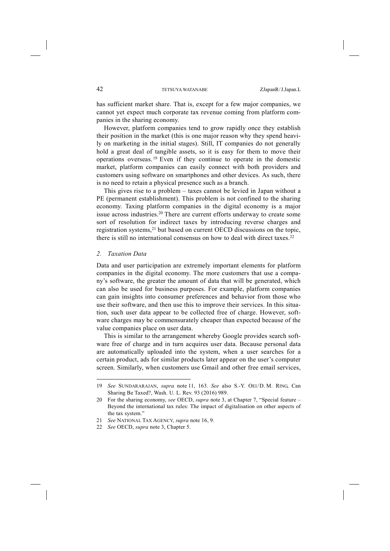has sufficient market share. That is, except for a few major companies, we cannot yet expect much corporate tax revenue coming from platform companies in the sharing economy.

However, platform companies tend to grow rapidly once they establish their position in the market (this is one major reason why they spend heavily on marketing in the initial stages). Still, IT companies do not generally hold a great deal of tangible assets, so it is easy for them to move their operations overseas. <sup>19</sup> Even if they continue to operate in the domestic market, platform companies can easily connect with both providers and customers using software on smartphones and other devices. As such, there is no need to retain a physical presence such as a branch.

This gives rise to a problem – taxes cannot be levied in Japan without a PE (permanent establishment). This problem is not confined to the sharing economy. Taxing platform companies in the digital economy is a major issue across industries.20 There are current efforts underway to create some sort of resolution for indirect taxes by introducing reverse charges and registration systems,21 but based on current OECD discussions on the topic, there is still no international consensus on how to deal with direct taxes.<sup>22</sup>

#### *2. Taxation Data*

-

Data and user participation are extremely important elements for platform companies in the digital economy. The more customers that use a company's software, the greater the amount of data that will be generated, which can also be used for business purposes. For example, platform companies can gain insights into consumer preferences and behavior from those who use their software, and then use this to improve their services. In this situation, such user data appear to be collected free of charge. However, software charges may be commensurately cheaper than expected because of the value companies place on user data.

This is similar to the arrangement whereby Google provides search software free of charge and in turn acquires user data. Because personal data are automatically uploaded into the system, when a user searches for a certain product, ads for similar products later appear on the user's computer screen. Similarly, when customers use Gmail and other free email services,

<sup>19</sup> *See* SUNDARARAJAN, *supra* note 11, 163. *See* also S.-Y. OEI/D. M. RING, Can Sharing Be Taxed?, Wash. U. L. Rev. 93 (2016) 989.

<sup>20</sup> For the sharing economy, *see* OECD, *supra* note 3, at Chapter 7, "Special feature – Beyond the international tax rules: The impact of digitalisation on other aspects of the tax system."

<sup>21</sup> *See* NATIONAL TAX AGENCY, *supra* note 16, 9.

<sup>22</sup> *See* OECD, *supra* note 3, Chapter 5.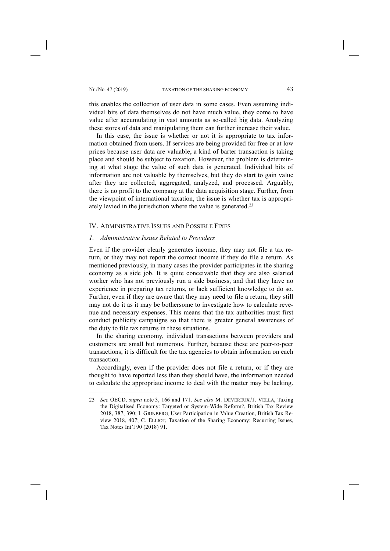-

this enables the collection of user data in some cases. Even assuming individual bits of data themselves do not have much value, they come to have value after accumulating in vast amounts as so-called big data. Analyzing these stores of data and manipulating them can further increase their value.

In this case, the issue is whether or not it is appropriate to tax information obtained from users. If services are being provided for free or at low prices because user data are valuable, a kind of barter transaction is taking place and should be subject to taxation. However, the problem is determining at what stage the value of such data is generated. Individual bits of information are not valuable by themselves, but they do start to gain value after they are collected, aggregated, analyzed, and processed. Arguably, there is no profit to the company at the data acquisition stage. Further, from the viewpoint of international taxation, the issue is whether tax is appropriately levied in the jurisdiction where the value is generated.23

## IV. ADMINISTRATIVE ISSUES AND POSSIBLE FIXES

## *1. Administrative Issues Related to Providers*

Even if the provider clearly generates income, they may not file a tax return, or they may not report the correct income if they do file a return. As mentioned previously, in many cases the provider participates in the sharing economy as a side job. It is quite conceivable that they are also salaried worker who has not previously run a side business, and that they have no experience in preparing tax returns, or lack sufficient knowledge to do so. Further, even if they are aware that they may need to file a return, they still may not do it as it may be bothersome to investigate how to calculate revenue and necessary expenses. This means that the tax authorities must first conduct publicity campaigns so that there is greater general awareness of the duty to file tax returns in these situations.

In the sharing economy, individual transactions between providers and customers are small but numerous. Further, because these are peer-to-peer transactions, it is difficult for the tax agencies to obtain information on each transaction.

Accordingly, even if the provider does not file a return, or if they are thought to have reported less than they should have, the information needed to calculate the appropriate income to deal with the matter may be lacking.

<sup>23</sup> *See* OECD, *supra* note 3, 166 and 171. *See also* M. DEVEREUX/J. VELLA, Taxing the Digitalised Economy: Targeted or System-Wide Reform?, British Tax Review 2018, 387, 390; I. GRINBERG, User Participation in Value Creation, British Tax Review 2018, 407; C. ELLIOT, Taxation of the Sharing Economy: Recurring Issues, Tax Notes Int'l 90 (2018) 91.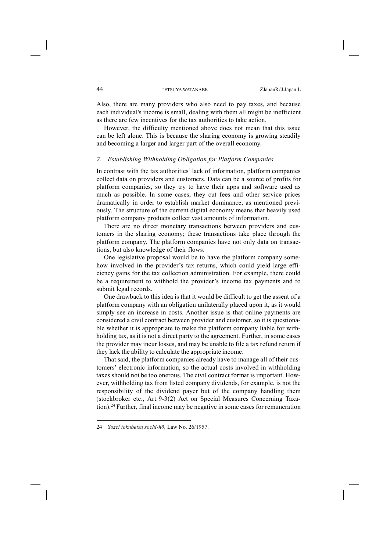Also, there are many providers who also need to pay taxes, and because each individual's income is small, dealing with them all might be inefficient as there are few incentives for the tax authorities to take action.

However, the difficulty mentioned above does not mean that this issue can be left alone. This is because the sharing economy is growing steadily and becoming a larger and larger part of the overall economy.

## *2. Establishing Withholding Obligation for Platform Companies*

In contrast with the tax authorities' lack of information, platform companies collect data on providers and customers. Data can be a source of profits for platform companies, so they try to have their apps and software used as much as possible. In some cases, they cut fees and other service prices dramatically in order to establish market dominance, as mentioned previously. The structure of the current digital economy means that heavily used platform company products collect vast amounts of information.

There are no direct monetary transactions between providers and customers in the sharing economy; these transactions take place through the platform company. The platform companies have not only data on transactions, but also knowledge of their flows.

One legislative proposal would be to have the platform company somehow involved in the provider's tax returns, which could yield large efficiency gains for the tax collection administration. For example, there could be a requirement to withhold the provider's income tax payments and to submit legal records.

One drawback to this idea is that it would be difficult to get the assent of a platform company with an obligation unilaterally placed upon it, as it would simply see an increase in costs. Another issue is that online payments are considered a civil contract between provider and customer, so it is questionable whether it is appropriate to make the platform company liable for withholding tax, as it is not a direct party to the agreement. Further, in some cases the provider may incur losses, and may be unable to file a tax refund return if they lack the ability to calculate the appropriate income.

That said, the platform companies already have to manage all of their customers' electronic information, so the actual costs involved in withholding taxes should not be too onerous. The civil contract format is important. However, withholding tax from listed company dividends, for example, is not the responsibility of the dividend payer but of the company handling them (stockbroker etc., Art. 9-3(2) Act on Special Measures Concerning Taxation).24 Further, final income may be negative in some cases for remuneration

<sup>24</sup> *Sozei tokubetsu sochi-hō,* Law No. 26/1957.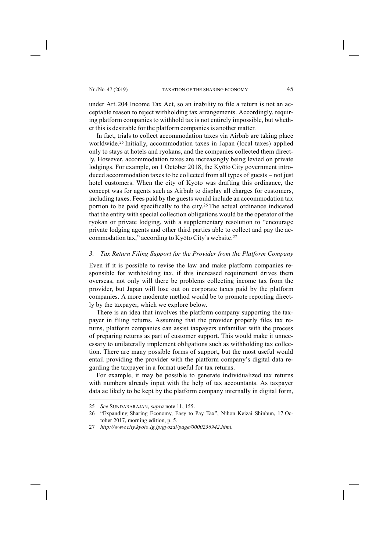under Art. 204 Income Tax Act, so an inability to file a return is not an acceptable reason to reject withholding tax arrangements. Accordingly, requiring platform companies to withhold tax is not entirely impossible, but whether this is desirable for the platform companies is another matter.

In fact, trials to collect accommodation taxes via Airbnb are taking place worldwide.<sup>25</sup> Initially, accommodation taxes in Japan (local taxes) applied only to stays at hotels and ryokans, and the companies collected them directly. However, accommodation taxes are increasingly being levied on private lodgings. For example, on 1 October 2018, the Kyōto City government introduced accommodation taxes to be collected from all types of guests – not just hotel customers. When the city of Kyōto was drafting this ordinance, the concept was for agents such as Airbnb to display all charges for customers, including taxes. Fees paid by the guests would include an accommodation tax portion to be paid specifically to the city.26 The actual ordinance indicated that the entity with special collection obligations would be the operator of the ryokan or private lodging, with a supplementary resolution to "encourage private lodging agents and other third parties able to collect and pay the accommodation tax," according to Kyōto City's website.27

## *3. Tax Return Filing Support for the Provider from the Platform Company*

Even if it is possible to revise the law and make platform companies responsible for withholding tax, if this increased requirement drives them overseas, not only will there be problems collecting income tax from the provider, but Japan will lose out on corporate taxes paid by the platform companies. A more moderate method would be to promote reporting directly by the taxpayer, which we explore below.

There is an idea that involves the platform company supporting the taxpayer in filing returns. Assuming that the provider properly files tax returns, platform companies can assist taxpayers unfamiliar with the process of preparing returns as part of customer support. This would make it unnecessary to unilaterally implement obligations such as withholding tax collection. There are many possible forms of support, but the most useful would entail providing the provider with the platform company's digital data regarding the taxpayer in a format useful for tax returns.

For example, it may be possible to generate individualized tax returns with numbers already input with the help of tax accountants. As taxpayer data ae likely to be kept by the platform company internally in digital form,

<sup>25</sup> *See* SUNDARARAJAN, *supra* note 11, 155.

<sup>26</sup> "Expanding Sharing Economy, Easy to Pay Tax", Nihon Keizai Shinbun, 17 October 2017, morning edition, p. 5.

<sup>27</sup> *http://www.city.kyoto.lg.jp/gyozai/page/0000236942.html.*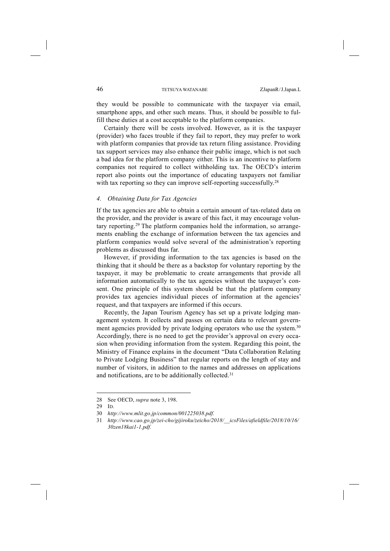they would be possible to communicate with the taxpayer via email, smartphone apps, and other such means. Thus, it should be possible to fulfill these duties at a cost acceptable to the platform companies.

Certainly there will be costs involved. However, as it is the taxpayer (provider) who faces trouble if they fail to report, they may prefer to work with platform companies that provide tax return filing assistance. Providing tax support services may also enhance their public image, which is not such a bad idea for the platform company either. This is an incentive to platform companies not required to collect withholding tax. The OECD's interim report also points out the importance of educating taxpayers not familiar with tax reporting so they can improve self-reporting successfully.<sup>28</sup>

## *4. Obtaining Data for Tax Agencies*

If the tax agencies are able to obtain a certain amount of tax-related data on the provider, and the provider is aware of this fact, it may encourage voluntary reporting.29 The platform companies hold the information, so arrangements enabling the exchange of information between the tax agencies and platform companies would solve several of the administration's reporting problems as discussed thus far.

However, if providing information to the tax agencies is based on the thinking that it should be there as a backstop for voluntary reporting by the taxpayer, it may be problematic to create arrangements that provide all information automatically to the tax agencies without the taxpayer's consent. One principle of this system should be that the platform company provides tax agencies individual pieces of information at the agencies' request, and that taxpayers are informed if this occurs.

Recently, the Japan Tourism Agency has set up a private lodging management system. It collects and passes on certain data to relevant government agencies provided by private lodging operators who use the system.<sup>30</sup> Accordingly, there is no need to get the provider's approval on every occasion when providing information from the system. Regarding this point, the Ministry of Finance explains in the document "Data Collaboration Relating to Private Lodging Business" that regular reports on the length of stay and number of visitors, in addition to the names and addresses on applications and notifications, are to be additionally collected.<sup>31</sup>

<sup>28</sup> See OECD, *supra* note 3, 198.

<sup>29</sup> ID.

<sup>30</sup> *http://www.mlit.go.jp/common/001225038.pdf.*

<sup>31</sup> *http://www.cao.go.jp/zei-cho/gijiroku/zeicho/2018/\_\_icsFiles/afieldfile/2018/10/16/ 30zen18kai1-1.pdf.*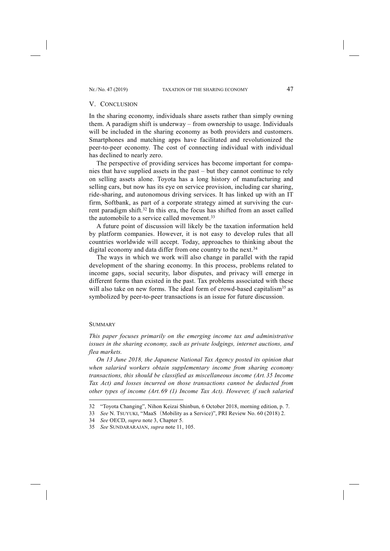## V. CONCLUSION

In the sharing economy, individuals share assets rather than simply owning them. A paradigm shift is underway – from ownership to usage. Individuals will be included in the sharing economy as both providers and customers. Smartphones and matching apps have facilitated and revolutionized the peer-to-peer economy. The cost of connecting individual with individual has declined to nearly zero.

The perspective of providing services has become important for companies that have supplied assets in the past – but they cannot continue to rely on selling assets alone. Toyota has a long history of manufacturing and selling cars, but now has its eye on service provision, including car sharing, ride-sharing, and autonomous driving services. It has linked up with an IT firm, Softbank, as part of a corporate strategy aimed at surviving the current paradigm shift.<sup>32</sup> In this era, the focus has shifted from an asset called the automobile to a service called movement.<sup>33</sup>

A future point of discussion will likely be the taxation information held by platform companies. However, it is not easy to develop rules that all countries worldwide will accept. Today, approaches to thinking about the digital economy and data differ from one country to the next.<sup>34</sup>

The ways in which we work will also change in parallel with the rapid development of the sharing economy. In this process, problems related to income gaps, social security, labor disputes, and privacy will emerge in different forms than existed in the past. Tax problems associated with these will also take on new forms. The ideal form of crowd-based capitalism<sup>35</sup> as symbolized by peer-to-peer transactions is an issue for future discussion.

#### **SUMMARY**

-

*This paper focuses primarily on the emerging income tax and administrative issues in the sharing economy, such as private lodgings, internet auctions, and flea markets.* 

*On 13 June 2018, the Japanese National Tax Agency posted its opinion that when salaried workers obtain supplementary income from sharing economy transactions, this should be classified as miscellaneous income (Art. 35 Income Tax Act) and losses incurred on those transactions cannot be deducted from other types of income (Art. 69 (1) Income Tax Act). However, if such salaried* 

<sup>32 &</sup>quot;Toyota Changing", Nihon Keizai Shinbun, 6 October 2018, morning edition, p. 7.

<sup>33</sup> *See* N. TSUYUKI, "MaaS(Mobility as a Service)", PRI Review No. 60 (2018) 2.

<sup>34</sup> *See* OECD, *supra* note 3, Chapter 5.

<sup>35</sup> *See* SUNDARARAJAN, *supra* note 11, 105.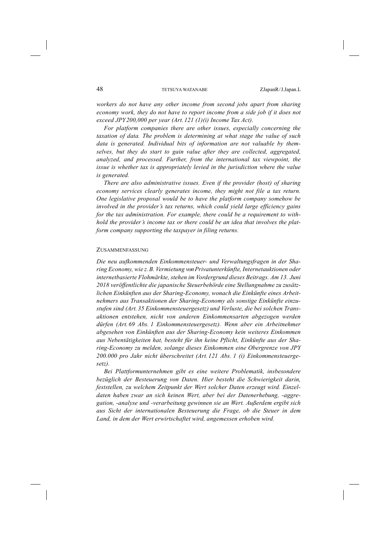*workers do not have any other income from second jobs apart from sharing economy work, they do not have to report income from a side job if it does not exceed JPY200,000 per year (Art. 121 (1)(i) Income Tax Act).* 

*For platform companies there are other issues, especially concerning the taxation of data. The problem is determining at what stage the value of such data is generated. Individual bits of information are not valuable by themselves, but they do start to gain value after they are collected, aggregated, analyzed, and processed. Further, from the international tax viewpoint, the issue is whether tax is appropriately levied in the jurisdiction where the value is generated.* 

*There are also administrative issues. Even if the provider (host) of sharing economy services clearly generates income, they might not file a tax return. One legislative proposal would be to have the platform company somehow be involved in the provider's tax returns, which could yield large efficiency gains for the tax administration. For example, there could be a requirement to withhold the provider's income tax or there could be an idea that involves the platform company supporting the taxpayer in filing returns.* 

#### ZUSAMMENFASSUNG

*Die neu aufkommenden Einkommensteuer- und Verwaltungsfragen in der Sharing Economy, wie z. B. Vermietung von Privatunterkünfte, Internetauktionen oder internetbasierte Flohmärkte, stehen im Vordergrund dieses Beitrags. Am 13. Juni 2018 veröffentlichte die japanische Steuerbehörde eine Stellungnahme zu zusätzlichen Einkünften aus der Sharing-Economy, wonach die Einkünfte eines Arbeitnehmers aus Transaktionen der Sharing-Economy als sonstige Einkünfte einzustufen sind (Art. 35 Einkommensteuergesetz) und Verluste, die bei solchen Transaktionen entstehen, nicht von anderen Einkommensarten abgezogen werden dürfen (Art. 69 Abs. 1 Einkommensteuergesetz). Wenn aber ein Arbeitnehmer abgesehen von Einkünften aus der Sharing-Economy kein weiteres Einkommen aus Nebentätigkeiten hat, besteht für ihn keine Pflicht, Einkünfte aus der Sharing-Economy zu melden, solange dieses Einkommen eine Obergrenze von JPY 200.000 pro Jahr nicht überschreitet (Art. 121 Abs. 1 (i) Einkommensteuergesetz).*

*Bei Plattformunternehmen gibt es eine weitere Problematik, insbesondere bezüglich der Besteuerung von Daten. Hier besteht die Schwierigkeit darin, feststellen, zu welchem Zeitpunkt der Wert solcher Daten erzeugt wird. Einzeldaten haben zwar an sich keinen Wert, aber bei der Datenerhebung, -aggregation, -analyse und -verarbeitung gewinnen sie an Wert. Außerdem ergibt sich aus Sicht der internationalen Besteuerung die Frage, ob die Steuer in dem Land, in dem der Wert erwirtschaftet wird, angemessen erhoben wird.*